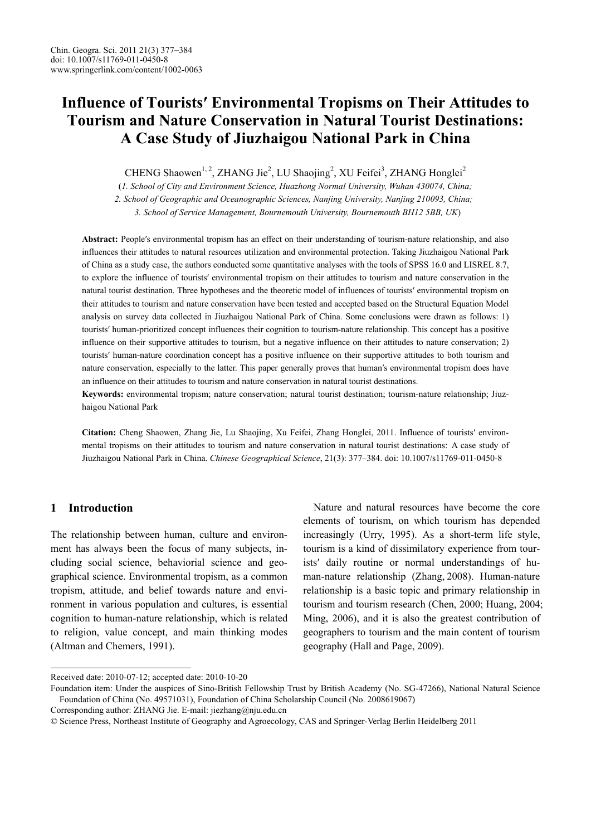# **Influence of Tourists′ Environmental Tropisms on Their Attitudes to Tourism and Nature Conservation in Natural Tourist Destinations: A Case Study of Jiuzhaigou National Park in China**

CHENG Shaowen<sup>1, 2</sup>, ZHANG Jie<sup>2</sup>, LU Shaojing<sup>2</sup>, XU Feifei<sup>3</sup>, ZHANG Honglei<sup>2</sup>

(*1. School of City and Environment Science, Huazhong Normal University, Wuhan 430074, China;* 

 *2. School of Geographic and Oceanographic Sciences, Nanjing University, Nanjing 210093, China;* 

 *3. School of Service Management, Bournemouth University, Bournemouth BH12 5BB, UK*)

**Abstract:** People′s environmental tropism has an effect on their understanding of tourism-nature relationship, and also influences their attitudes to natural resources utilization and environmental protection. Taking Jiuzhaigou National Park of China as a study case, the authors conducted some quantitative analyses with the tools of SPSS 16.0 and LISREL 8.7, to explore the influence of tourists′ environmental tropism on their attitudes to tourism and nature conservation in the natural tourist destination. Three hypotheses and the theoretic model of influences of tourists′ environmental tropism on their attitudes to tourism and nature conservation have been tested and accepted based on the Structural Equation Model analysis on survey data collected in Jiuzhaigou National Park of China. Some conclusions were drawn as follows: 1) tourists′ human-prioritized concept influences their cognition to tourism-nature relationship. This concept has a positive influence on their supportive attitudes to tourism, but a negative influence on their attitudes to nature conservation; 2) tourists′ human-nature coordination concept has a positive influence on their supportive attitudes to both tourism and nature conservation, especially to the latter. This paper generally proves that human′s environmental tropism does have an influence on their attitudes to tourism and nature conservation in natural tourist destinations.

**Keywords:** environmental tropism; nature conservation; natural tourist destination; tourism-nature relationship; Jiuzhaigou National Park

**Citation:** Cheng Shaowen, Zhang Jie, Lu Shaojing, Xu Feifei, Zhang Honglei, 2011. Influence of tourists′ environmental tropisms on their attitudes to tourism and nature conservation in natural tourist destinations: A case study of Jiuzhaigou National Park in China. *Chinese Geographical Science*, 21(3): 377–384. doi: 10.1007/s11769-011-0450-8

# **1 Introduction**

 $\overline{a}$ 

The relationship between human, culture and environment has always been the focus of many subjects, including social science, behaviorial science and geographical science. Environmental tropism, as a common tropism, attitude, and belief towards nature and environment in various population and cultures, is essential cognition to human-nature relationship, which is related to religion, value concept, and main thinking modes (Altman and Chemers, 1991).

Nature and natural resources have become the core elements of tourism, on which tourism has depended increasingly (Urry, 1995). As a short-term life style, tourism is a kind of dissimilatory experience from tourists′ daily routine or normal understandings of human-nature relationship (Zhang, 2008). Human-nature relationship is a basic topic and primary relationship in tourism and tourism research (Chen, 2000; Huang, 2004; Ming, 2006), and it is also the greatest contribution of geographers to tourism and the main content of tourism geography (Hall and Page, 2009).

Corresponding author: ZHANG Jie. E-mail: jiezhang@nju.edu.cn

Received date: 2010-07-12; accepted date: 2010-10-20

Foundation item: Under the auspices of Sino-British Fellowship Trust by British Academy (No. SG-47266), National Natural Science Foundation of China (No. 49571031), Foundation of China Scholarship Council (No. 2008619067)

<sup>©</sup> Science Press, Northeast Institute of Geography and Agroecology, CAS and Springer-Verlag Berlin Heidelberg 2011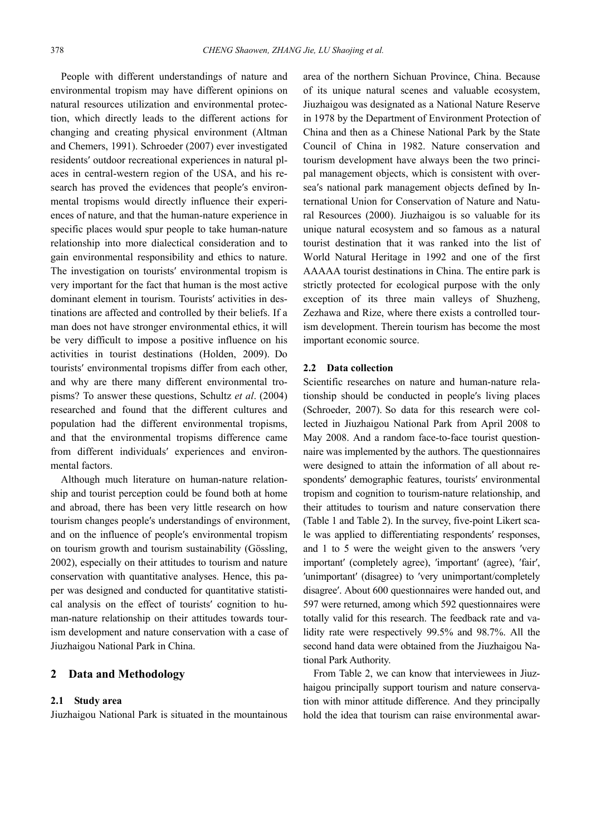People with different understandings of nature and environmental tropism may have different opinions on natural resources utilization and environmental protection, which directly leads to the different actions for changing and creating physical environment (Altman and Chemers, 1991). Schroeder (2007) ever investigated residents′ outdoor recreational experiences in natural places in central-western region of the USA, and his research has proved the evidences that people′s environmental tropisms would directly influence their experiences of nature, and that the human-nature experience in specific places would spur people to take human-nature relationship into more dialectical consideration and to gain environmental responsibility and ethics to nature. The investigation on tourists′ environmental tropism is very important for the fact that human is the most active dominant element in tourism. Tourists′ activities in destinations are affected and controlled by their beliefs. If a man does not have stronger environmental ethics, it will be very difficult to impose a positive influence on his activities in tourist destinations (Holden, 2009). Do tourists′ environmental tropisms differ from each other, and why are there many different environmental tropisms? To answer these questions, Schultz *et al*. (2004) researched and found that the different cultures and population had the different environmental tropisms, and that the environmental tropisms difference came from different individuals′ experiences and environmental factors.

Although much literature on human-nature relationship and tourist perception could be found both at home and abroad, there has been very little research on how tourism changes people′s understandings of environment, and on the influence of people′s environmental tropism on tourism growth and tourism sustainability (Gössling, 2002), especially on their attitudes to tourism and nature conservation with quantitative analyses. Hence, this paper was designed and conducted for quantitative statistical analysis on the effect of tourists′ cognition to human-nature relationship on their attitudes towards tourism development and nature conservation with a case of Jiuzhaigou National Park in China.

# **2 Data and Methodology**

### **2.1 Study area**

Jiuzhaigou National Park is situated in the mountainous

area of the northern Sichuan Province, China. Because of its unique natural scenes and valuable ecosystem, Jiuzhaigou was designated as a National Nature Reserve in 1978 by the Department of Environment Protection of China and then as a Chinese National Park by the State Council of China in 1982. Nature conservation and tourism development have always been the two principal management objects, which is consistent with oversea′s national park management objects defined by International Union for Conservation of Nature and Natural Resources (2000). Jiuzhaigou is so valuable for its unique natural ecosystem and so famous as a natural tourist destination that it was ranked into the list of World Natural Heritage in 1992 and one of the first AAAAA tourist destinations in China. The entire park is strictly protected for ecological purpose with the only exception of its three main valleys of Shuzheng, Zezhawa and Rize, where there exists a controlled tourism development. Therein tourism has become the most important economic source.

## **2.2 Data collection**

Scientific researches on nature and human-nature relationship should be conducted in people′s living places (Schroeder, 2007). So data for this research were collected in Jiuzhaigou National Park from April 2008 to May 2008. And a random face-to-face tourist questionnaire was implemented by the authors. The questionnaires were designed to attain the information of all about respondents′ demographic features, tourists′ environmental tropism and cognition to tourism-nature relationship, and their attitudes to tourism and nature conservation there (Table 1 and Table 2). In the survey, five-point Likert scale was applied to differentiating respondents′ responses, and 1 to 5 were the weight given to the answers ′very important' (completely agree), 'important' (agree), 'fair', ′unimportant′ (disagree) to ′very unimportant/completely disagree′. About 600 questionnaires were handed out, and 597 were returned, among which 592 questionnaires were totally valid for this research. The feedback rate and validity rate were respectively 99.5% and 98.7%. All the second hand data were obtained from the Jiuzhaigou National Park Authority.

From Table 2, we can know that interviewees in Jiuzhaigou principally support tourism and nature conservation with minor attitude difference. And they principally hold the idea that tourism can raise environmental awar-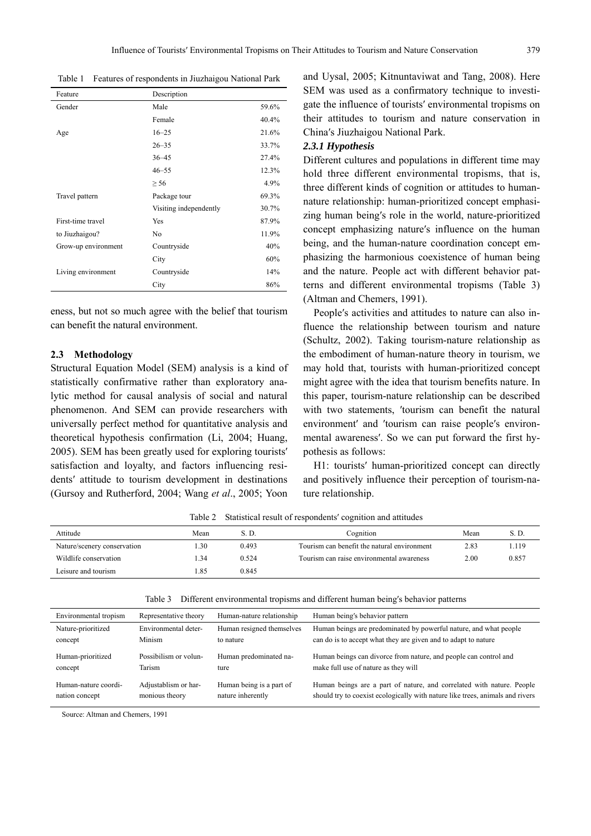Table 1 Features of respondents in Jiuzhaigou National Park

| Feature             | Description            |       |
|---------------------|------------------------|-------|
| Gender              | Male                   | 59.6% |
|                     | Female                 | 40.4% |
| Age                 | $16 - 25$              | 21.6% |
|                     | $26 - 35$              | 33.7% |
|                     | $36 - 45$              | 27.4% |
|                     | $46 - 55$              | 12.3% |
|                     | $\geq 56$              | 4.9%  |
| Travel pattern      | Package tour           | 69.3% |
|                     | Visiting independently | 30.7% |
| First-time travel   | Yes                    | 87.9% |
| to Jiuzhaigou?      | N <sub>0</sub>         | 11.9% |
| Grow-up environment | Countryside            | 40%   |
|                     | City                   | 60%   |
| Living environment  | Countryside            | 14%   |
|                     | City                   | 86%   |

eness, but not so much agree with the belief that tourism can benefit the natural environment.

## **2.3 Methodology**

Structural Equation Model (SEM) analysis is a kind of statistically confirmative rather than exploratory analytic method for causal analysis of social and natural phenomenon. And SEM can provide researchers with universally perfect method for quantitative analysis and theoretical hypothesis confirmation (Li, 2004; Huang, 2005). SEM has been greatly used for exploring tourists′ satisfaction and loyalty, and factors influencing residents′ attitude to tourism development in destinations (Gursoy and Rutherford, 2004; Wang *et al*., 2005; Yoon and Uysal, 2005; Kitnuntaviwat and Tang, 2008). Here SEM was used as a confirmatory technique to investigate the influence of tourists′ environmental tropisms on their attitudes to tourism and nature conservation in China′s Jiuzhaigou National Park.

#### *2.3.1 Hypothesis*

Different cultures and populations in different time may hold three different environmental tropisms, that is, three different kinds of cognition or attitudes to humannature relationship: human-prioritized concept emphasizing human being′s role in the world, nature-prioritized concept emphasizing nature′s influence on the human being, and the human-nature coordination concept emphasizing the harmonious coexistence of human being and the nature. People act with different behavior patterns and different environmental tropisms (Table 3) (Altman and Chemers, 1991).

People′s activities and attitudes to nature can also influence the relationship between tourism and nature (Schultz, 2002). Taking tourism-nature relationship as the embodiment of human-nature theory in tourism, we may hold that, tourists with human-prioritized concept might agree with the idea that tourism benefits nature. In this paper, tourism-nature relationship can be described with two statements, 'tourism can benefit the natural environment′ and ′tourism can raise people′s environmental awareness′. So we can put forward the first hypothesis as follows:

H1: tourists′ human-prioritized concept can directly and positively influence their perception of tourism-nature relationship.

Attitude S.D. Sean S.D. Cognition Mean S.D. Sean S.D. Cognition Nature/scenery conservation 1.30 0.493 Tourism can benefit the natural environment 2.83 1.119 Wildlife conservation 1.34 0.524 Tourism can raise environmental awareness 2.00 0.857 Leisure and tourism 1.85 0.845

Table 2 Statistical result of respondents′ cognition and attitudes

|  | Table 3 Different environmental tropisms and different human being's behavior patterns |  |  |  |  |
|--|----------------------------------------------------------------------------------------|--|--|--|--|
|  |                                                                                        |  |  |  |  |

| Environmental tropism | Representative theory | Human-nature relationship | Human being's behavior pattern                                                |
|-----------------------|-----------------------|---------------------------|-------------------------------------------------------------------------------|
| Nature-prioritized    | Environmental deter-  | Human resigned themselves | Human beings are predominated by powerful nature, and what people             |
| concept               | Minism                | to nature                 | can do is to accept what they are given and to adapt to nature                |
| Human-prioritized     | Possibilism or volun- | Human predominated na-    | Human beings can divorce from nature, and people can control and              |
| concept               | Tarism                | ture                      | make full use of nature as they will                                          |
| Human-nature coordi-  | Adjustablism or har-  | Human being is a part of  | Human beings are a part of nature, and correlated with nature. People         |
| nation concept        | monious theory        | nature inherently         | should try to coexist ecologically with nature like trees, animals and rivers |

Source: Altman and Chemers, 1991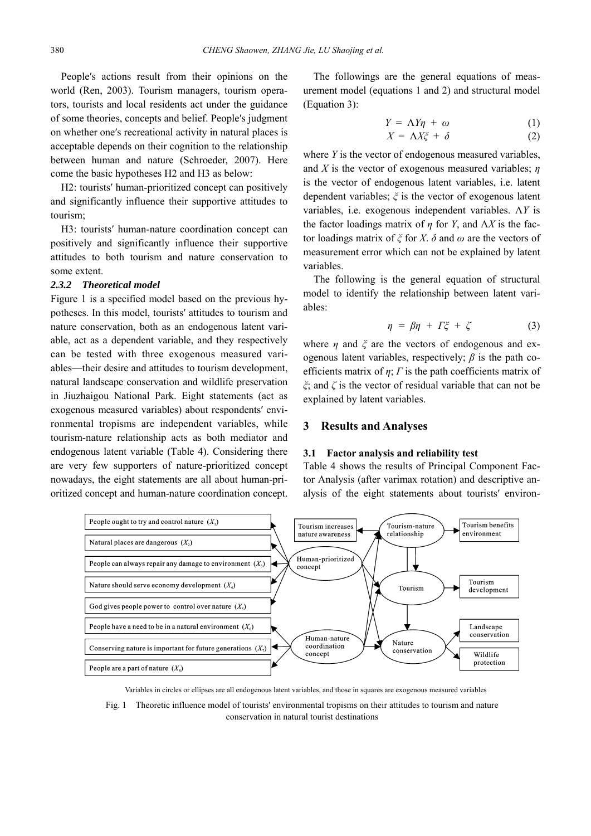People′s actions result from their opinions on the world (Ren, 2003). Tourism managers, tourism operators, tourists and local residents act under the guidance of some theories, concepts and belief. People′s judgment on whether one′s recreational activity in natural places is acceptable depends on their cognition to the relationship between human and nature (Schroeder, 2007). Here come the basic hypotheses H2 and H3 as below:

H2: tourists′ human-prioritized concept can positively and significantly influence their supportive attitudes to tourism;

H3: tourists′ human-nature coordination concept can positively and significantly influence their supportive attitudes to both tourism and nature conservation to some extent.

## *2.3.2 Theoretical model*

Figure 1 is a specified model based on the previous hypotheses. In this model, tourists′ attitudes to tourism and nature conservation, both as an endogenous latent variable, act as a dependent variable, and they respectively can be tested with three exogenous measured variables—their desire and attitudes to tourism development, natural landscape conservation and wildlife preservation in Jiuzhaigou National Park. Eight statements (act as exogenous measured variables) about respondents′ environmental tropisms are independent variables, while tourism-nature relationship acts as both mediator and endogenous latent variable (Table 4). Considering there are very few supporters of nature-prioritized concept nowadays, the eight statements are all about human-prioritized concept and human-nature coordination concept.

 The followings are the general equations of measurement model (equations 1 and 2) and structural model (Equation 3):

$$
Y = \Lambda Y \eta + \omega \tag{1}
$$

$$
X = \Lambda X \xi + \delta \tag{2}
$$

where *Y* is the vector of endogenous measured variables, and *X* is the vector of exogenous measured variables; *η* is the vector of endogenous latent variables, i.e. latent dependent variables; *ξ* is the vector of exogenous latent variables, i.e. exogenous independent variables. Λ*Y* is the factor loadings matrix of  $\eta$  for *Y*, and  $\Lambda X$  is the factor loadings matrix of *ξ* for *X*. *δ* and *ω* are the vectors of measurement error which can not be explained by latent variables.

The following is the general equation of structural model to identify the relationship between latent variables:

$$
\eta = \beta \eta + \Gamma \xi + \zeta \tag{3}
$$

where *η* and *ξ* are the vectors of endogenous and exogenous latent variables, respectively;  $\beta$  is the path coefficients matrix of *η*; *Γ* is the path coefficients matrix of *ξ*; and *ζ* is the vector of residual variable that can not be explained by latent variables.

### **3 Results and Analyses**

#### **3.1 Factor analysis and reliability test**

Table 4 shows the results of Principal Component Factor Analysis (after varimax rotation) and descriptive analysis of the eight statements about tourists′ environ-



Variables in circles or ellipses are all endogenous latent variables, and those in squares are exogenous measured variables

Fig. 1 Theoretic influence model of tourists′ environmental tropisms on their attitudes to tourism and nature conservation in natural tourist destinations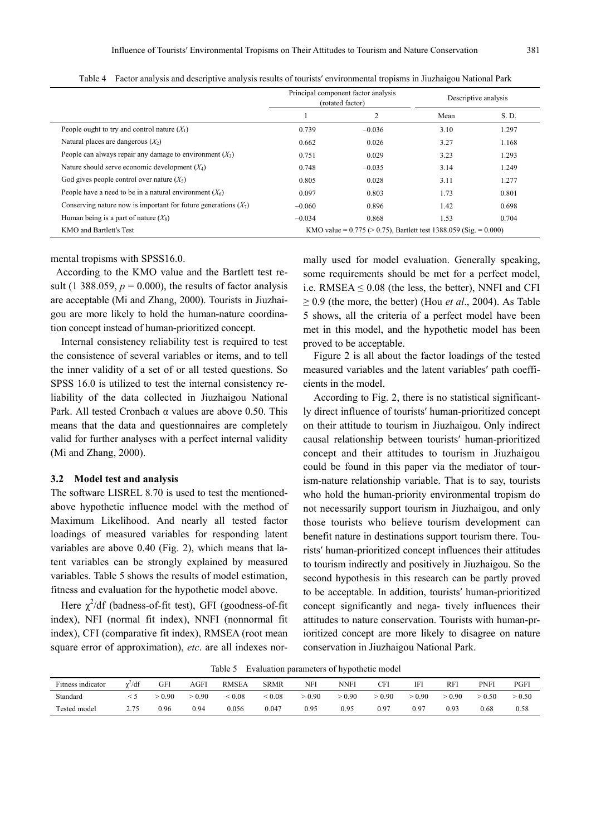|                                                                   |                                                                         | Principal component factor analysis<br>(rotated factor) |      | Descriptive analysis |  |  |
|-------------------------------------------------------------------|-------------------------------------------------------------------------|---------------------------------------------------------|------|----------------------|--|--|
|                                                                   |                                                                         | 2                                                       | Mean | S. D.                |  |  |
| People ought to try and control nature $(X_1)$                    | 0.739                                                                   | $-0.036$                                                | 3.10 | 1.297                |  |  |
| Natural places are dangerous $(X_2)$                              | 0.662                                                                   | 0.026                                                   | 3.27 | 1.168                |  |  |
| People can always repair any damage to environment $(X_3)$        | 0.751                                                                   | 0.029                                                   | 3.23 | 1.293                |  |  |
| Nature should serve economic development $(X_4)$                  | 0.748                                                                   | $-0.035$                                                | 3.14 | 1.249                |  |  |
| God gives people control over nature $(X_5)$                      | 0.805                                                                   | 0.028                                                   | 3.11 | 1.277                |  |  |
| People have a need to be in a natural environment $(X_6)$         | 0.097                                                                   | 0.803                                                   | 1.73 | 0.801                |  |  |
| Conserving nature now is important for future generations $(X_7)$ | $-0.060$                                                                | 0.896                                                   | 1.42 | 0.698                |  |  |
| Human being is a part of nature $(X_8)$                           | $-0.034$                                                                | 0.868                                                   | 1.53 | 0.704                |  |  |
| KMO and Bartlett's Test                                           | KMO value = $0.775$ ( $> 0.75$ ), Bartlett test 1388.059 (Sig. = 0.000) |                                                         |      |                      |  |  |

Table 4 Factor analysis and descriptive analysis results of tourists′ environmental tropisms in Jiuzhaigou National Park

mental tropisms with SPSS16.0.

According to the KMO value and the Bartlett test result (1 388.059,  $p = 0.000$ ), the results of factor analysis are acceptable (Mi and Zhang, 2000). Tourists in Jiuzhaigou are more likely to hold the human-nature coordination concept instead of human-prioritized concept.

Internal consistency reliability test is required to test the consistence of several variables or items, and to tell the inner validity of a set of or all tested questions. So SPSS 16.0 is utilized to test the internal consistency reliability of the data collected in Jiuzhaigou National Park. All tested Cronbach α values are above 0.50. This means that the data and questionnaires are completely valid for further analyses with a perfect internal validity (Mi and Zhang, 2000).

#### **3.2 Model test and analysis**

The software LISREL 8.70 is used to test the mentionedabove hypothetic influence model with the method of Maximum Likelihood. And nearly all tested factor loadings of measured variables for responding latent variables are above 0.40 (Fig. 2), which means that latent variables can be strongly explained by measured variables. Table 5 shows the results of model estimation, fitness and evaluation for the hypothetic model above.

Here  $\chi^2$ /df (badness-of-fit test), GFI (goodness-of-fit index), NFI (normal fit index), NNFI (nonnormal fit index), CFI (comparative fit index), RMSEA (root mean square error of approximation), *etc*. are all indexes normally used for model evaluation. Generally speaking, some requirements should be met for a perfect model, i.e. RMSEA  $\leq 0.08$  (the less, the better), NNFI and CFI ≥ 0.9 (the more, the better) (Hou *et al*., 2004). As Table 5 shows, all the criteria of a perfect model have been met in this model, and the hypothetic model has been proved to be acceptable.

Figure 2 is all about the factor loadings of the tested measured variables and the latent variables′ path coefficients in the model.

According to Fig. 2, there is no statistical significantly direct influence of tourists′ human-prioritized concept on their attitude to tourism in Jiuzhaigou. Only indirect causal relationship between tourists′ human-prioritized concept and their attitudes to tourism in Jiuzhaigou could be found in this paper via the mediator of tourism-nature relationship variable. That is to say, tourists who hold the human-priority environmental tropism do not necessarily support tourism in Jiuzhaigou, and only those tourists who believe tourism development can benefit nature in destinations support tourism there. Tourists′ human-prioritized concept influences their attitudes to tourism indirectly and positively in Jiuzhaigou. So the second hypothesis in this research can be partly proved to be acceptable. In addition, tourists′ human-prioritized concept significantly and nega- tively influences their attitudes to nature conservation. Tourists with human-prioritized concept are more likely to disagree on nature conservation in Jiuzhaigou National Park.

Table 5 Evaluation parameters of hypothetic model

| Fitness indicator | /df | GFI  | <b>AGFI</b> | <b>RMSEA</b> | <b>SRMR</b>   | NFI    | <b>NNFI</b> | CFI  | IF.    | RFI    | PNFI | PGFI   |
|-------------------|-----|------|-------------|--------------|---------------|--------|-------------|------|--------|--------|------|--------|
| Standard          |     | 0.90 | $-0.90$     | < 0.08       | ${}^{< 0.08}$ | > 0.90 | > 0.90      | 0.90 | > 0.90 | > 0.90 | 0.50 | > 0.50 |
| Tested model      | 275 | 0.96 | 0.94        | 0.056        | 0.047         | 0.95   | 0.95        | 0.97 | 0.97   | 0.93   | 0.68 | 0.58   |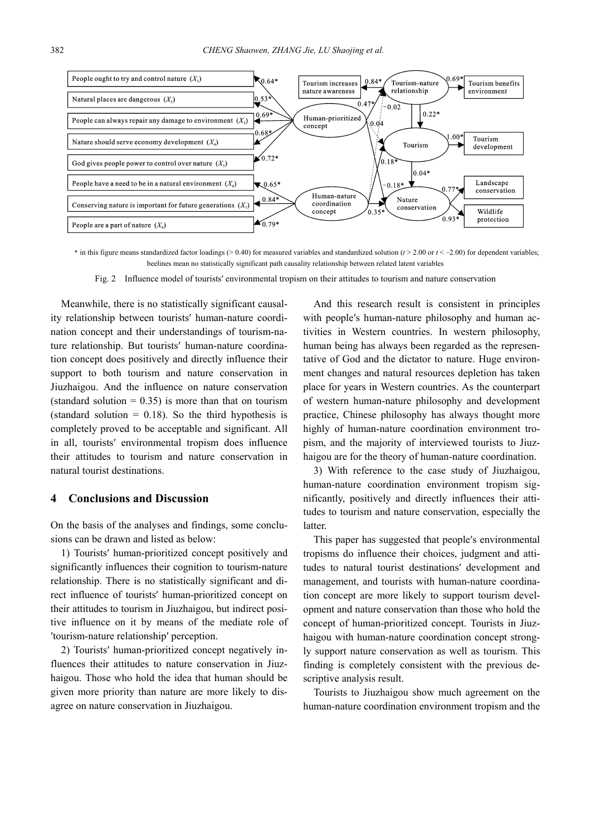

 $*$  in this figure means standardized factor loadings  $(> 0.40)$  for measured variables and standardized solution ( $t > 2.00$  or  $t < -2.00$ ) for dependent variables: beelines mean no statistically significant path causality relationship between related latent variables

Fig. 2 Influence model of tourists′ environmental tropism on their attitudes to tourism and nature conservation

Meanwhile, there is no statistically significant causality relationship between tourists′ human-nature coordination concept and their understandings of tourism-nature relationship. But tourists′ human-nature coordination concept does positively and directly influence their support to both tourism and nature conservation in Jiuzhaigou. And the influence on nature conservation (standard solution  $= 0.35$ ) is more than that on tourism (standard solution  $= 0.18$ ). So the third hypothesis is completely proved to be acceptable and significant. All in all, tourists′ environmental tropism does influence their attitudes to tourism and nature conservation in natural tourist destinations.

# **4 Conclusions and Discussion**

On the basis of the analyses and findings, some conclusions can be drawn and listed as below:

1) Tourists′ human-prioritized concept positively and significantly influences their cognition to tourism-nature relationship. There is no statistically significant and direct influence of tourists′ human-prioritized concept on their attitudes to tourism in Jiuzhaigou, but indirect positive influence on it by means of the mediate role of ′tourism-nature relationship′ perception.

2) Tourists′ human-prioritized concept negatively influences their attitudes to nature conservation in Jiuzhaigou. Those who hold the idea that human should be given more priority than nature are more likely to disagree on nature conservation in Jiuzhaigou.

And this research result is consistent in principles with people′s human-nature philosophy and human activities in Western countries. In western philosophy, human being has always been regarded as the representative of God and the dictator to nature. Huge environment changes and natural resources depletion has taken place for years in Western countries. As the counterpart of western human-nature philosophy and development practice, Chinese philosophy has always thought more highly of human-nature coordination environment tropism, and the majority of interviewed tourists to Jiuzhaigou are for the theory of human-nature coordination.

3) With reference to the case study of Jiuzhaigou, human-nature coordination environment tropism significantly, positively and directly influences their attitudes to tourism and nature conservation, especially the latter.

This paper has suggested that people′s environmental tropisms do influence their choices, judgment and attitudes to natural tourist destinations′ development and management, and tourists with human-nature coordination concept are more likely to support tourism development and nature conservation than those who hold the concept of human-prioritized concept. Tourists in Jiuzhaigou with human-nature coordination concept strongly support nature conservation as well as tourism. This finding is completely consistent with the previous descriptive analysis result.

Tourists to Jiuzhaigou show much agreement on the human-nature coordination environment tropism and the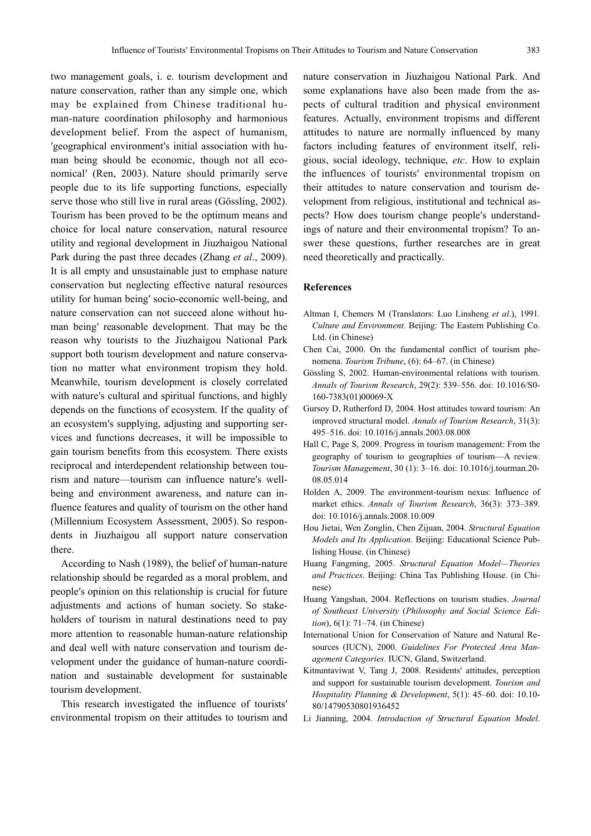two management goals, i. e. tourism development and nature conservation, rather than any simple one, which may be explained from Chinese traditional human-nature coordination philosophy and harmonious development belief. From the aspect of humanism, ′geographical environment′s initial association with human being should be economic, though not all economical′ (Ren, 2003). Nature should primarily serve people due to its life supporting functions, especially serve those who still live in rural areas (Gössling, 2002). Tourism has been proved to be the optimum means and choice for local nature conservation, natural resource utility and regional development in Jiuzhaigou National Park during the past three decades (Zhang *et al*., 2009). It is all empty and unsustainable just to emphase nature conservation but neglecting effective natural resources utility for human being′ socio-economic well-being, and nature conservation can not succeed alone without human being′ reasonable development. That may be the reason why tourists to the Jiuzhaigou National Park support both tourism development and nature conservation no matter what environment tropism they hold. Meanwhile, tourism development is closely correlated with nature′s cultural and spiritual functions, and highly depends on the functions of ecosystem. If the quality of an ecosystem′s supplying, adjusting and supporting services and functions decreases, it will be impossible to gain tourism benefits from this ecosystem. There exists reciprocal and interdependent relationship between tourism and nature—tourism can influence nature′s wellbeing and environment awareness, and nature can influence features and quality of tourism on the other hand (Millennium Ecosystem Assessment, 2005). So respondents in Jiuzhaigou all support nature conservation there.

According to Nash (1989), the belief of human-nature relationship should be regarded as a moral problem, and people′s opinion on this relationship is crucial for future adjustments and actions of human society. So stakeholders of tourism in natural destinations need to pay more attention to reasonable human-nature relationship and deal well with nature conservation and tourism development under the guidance of human-nature coordination and sustainable development for sustainable tourism development.

This research investigated the influence of tourists′ environmental tropism on their attitudes to tourism and nature conservation in Jiuzhaigou National Park. And some explanations have also been made from the aspects of cultural tradition and physical environment features. Actually, environment tropisms and different attitudes to nature are normally influenced by many factors including features of environment itself, religious, social ideology, technique, *etc*. How to explain the influences of tourists′ environmental tropism on their attitudes to nature conservation and tourism development from religious, institutional and technical aspects? How does tourism change people′s understandings of nature and their environmental tropism? To answer these questions, further researches are in great need theoretically and practically.

## **References**

- Altman I, Chemers M (Translators: Luo Linsheng *et al*.), 1991. *Culture and Environment*. Beijing: The Eastern Publishing Co. Ltd. (in Chinese)
- Chen Cai, 2000. On the fundamental conflict of tourism phenomena. *Tourism Tribune*, (6): 64–67. (in Chinese)
- Gössling S, 2002. Human-environmental relations with tourism. *Annals of Tourism Research*, 29(2): 539*–*556. doi: 10.1016/S0- 160-7383(01)00069-X
- Gursoy D, Rutherford D, 2004. Host attitudes toward tourism: An improved structural model. *Annals of Tourism Research*, 31(3): 495*–*516. doi: 10.1016/j.annals.2003.08.008
- Hall C, Page S, 2009. Progress in tourism management: From the geography of tourism to geographies of tourism—A review. *Tourism Management*, 30 (1): 3*–*16. doi: 10.1016/j.tourman.20- 08.05.014
- Holden A, 2009. The environment-tourism nexus: Influence of market ethics. *Annals of Tourism Research*, 36(3): 373*–*389. doi: 10.1016/j.annals.2008.10.009
- Hou Jietai, Wen Zonglin, Chen Zijuan, 2004. *Structural Equation Models and Its Application*. Beijing: Educational Science Publishing House. (in Chinese)
- Huang Fangming, 2005. *Structural Equation Model—Theories and Practices*. Beijing: China Tax Publishing House. (in Chinese)
- Huang Yangshan, 2004. Reflections on tourism studies. *Journal of Southeast University* (*Philosophy and Social Science Edition*), 6(1): 71*–*74. (in Chinese)
- International Union for Conservation of Nature and Natural Resources (IUCN), 2000. *Guidelines For Protected Area Management Categories*. IUCN, Gland, Switzerland.
- Kitnuntaviwat V, Tang J, 2008. Residents′ attitudes, perception and support for sustainable tourism development. *Tourism and Hospitality Planning & Development*, 5(1): 45*–*60. doi: 10.10- 80/14790530801936452
- Li Jianning, 2004. *Introduction of Structural Equation Model*.